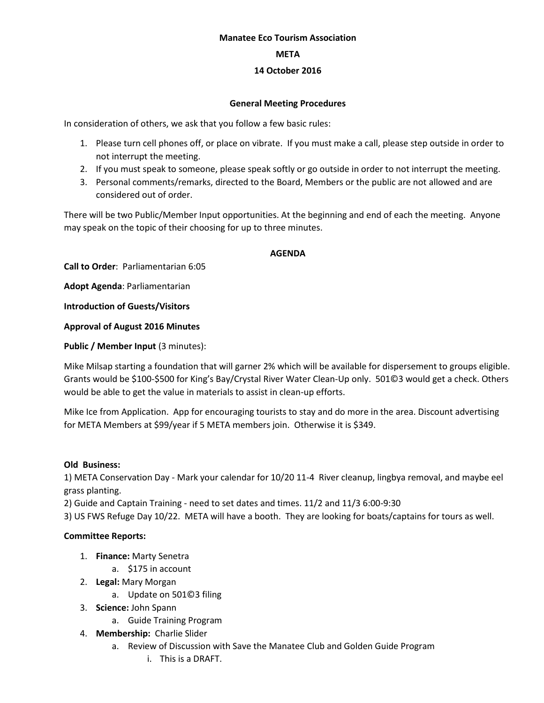#### **Manatee Eco Tourism Association**

#### **META**

# **14 October 2016**

## **General Meeting Procedures**

In consideration of others, we ask that you follow a few basic rules:

- 1. Please turn cell phones off, or place on vibrate. If you must make a call, please step outside in order to not interrupt the meeting.
- 2. If you must speak to someone, please speak softly or go outside in order to not interrupt the meeting.
- 3. Personal comments/remarks, directed to the Board, Members or the public are not allowed and are considered out of order.

There will be two Public/Member Input opportunities. At the beginning and end of each the meeting. Anyone may speak on the topic of their choosing for up to three minutes.

## **AGENDA**

**Call to Order**: Parliamentarian 6:05

**Adopt Agenda**: Parliamentarian

**Introduction of Guests/Visitors**

**Approval of August 2016 Minutes**

# **Public / Member Input (3 minutes):**

Mike Milsap starting a foundation that will garner 2% which will be available for dispersement to groups eligible. Grants would be \$100-\$500 for King's Bay/Crystal River Water Clean-Up only. 501©3 would get a check. Others would be able to get the value in materials to assist in clean-up efforts.

Mike Ice from Application. App for encouraging tourists to stay and do more in the area. Discount advertising for META Members at \$99/year if 5 META members join. Otherwise it is \$349.

## **Old Business:**

1) META Conservation Day - Mark your calendar for 10/20 11-4 River cleanup, lingbya removal, and maybe eel grass planting.

2) Guide and Captain Training - need to set dates and times. 11/2 and 11/3 6:00-9:30

3) US FWS Refuge Day 10/22. META will have a booth. They are looking for boats/captains for tours as well.

# **Committee Reports:**

- 1. **Finance:** Marty Senetra
	- a. \$175 in account
- 2. **Legal:** Mary Morgan
	- a. Update on 501©3 filing
- 3. **Science:** John Spann
	- a. Guide Training Program
- 4. **Membership:** Charlie Slider
	- a. Review of Discussion with Save the Manatee Club and Golden Guide Program
		- i. This is a DRAFT.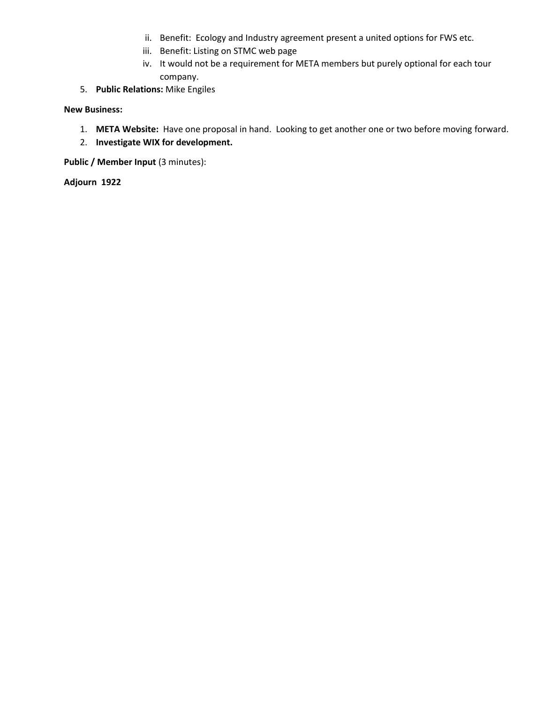- ii. Benefit: Ecology and Industry agreement present a united options for FWS etc.
- iii. Benefit: Listing on STMC web page
- iv. It would not be a requirement for META members but purely optional for each tour company.
- 5. **Public Relations:** Mike Engiles

## **New Business:**

- 1. **META Website:** Have one proposal in hand. Looking to get another one or two before moving forward.
- 2. **Investigate WIX for development.**

**Public / Member Input (3 minutes):** 

**Adjourn 1922**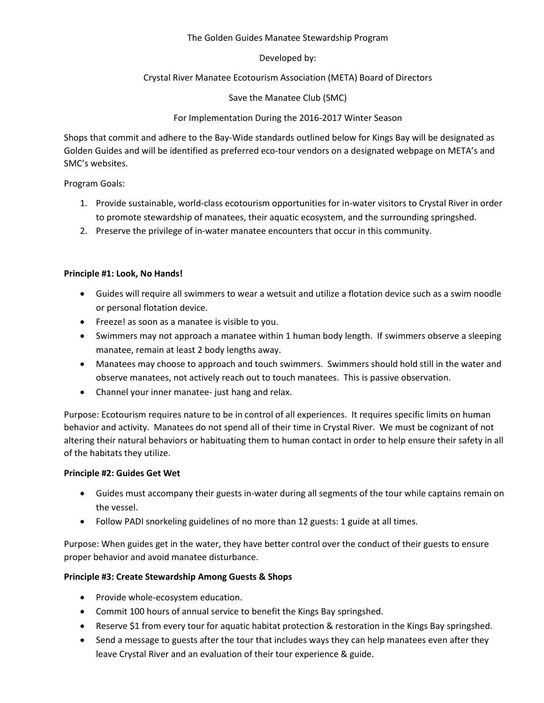# The Golden Guides Manatee Stewardship Program

# Developed by:

# Crystal River Manatee Ecotourism Association (META) Board of Directors

# Save the Manatee Club (SMC)

# For Implementation During the 2016-2017 Winter Season

Shops that commit and adhere to the Bay-Wide standards outlined below for Kings Bay will be designated as Golden Guides and will be identified as preferred eco-tour vendors on a designated webpage on META's and SMC's websites.

Program Goals:

- 1. Provide sustainable, world-class ecotourism opportunities for in-water visitors to Crystal River in order to promote stewardship of manatees, their aquatic ecosystem, and the surrounding springshed.
- 2. Preserve the privilege of in-water manatee encounters that occur in this community.

# **Principle #1: Look, No Hands!**

- Guides will require all swimmers to wear a wetsuit and utilize a flotation device such as a swim noodle or personal flotation device.
- Freeze! as soon as a manatee is visible to you.
- Swimmers may not approach a manatee within 1 human body length. If swimmers observe a sleeping manatee, remain at least 2 body lengths away.
- Manatees may choose to approach and touch swimmers. Swimmers should hold still in the water and observe manatees, not actively reach out to touch manatees. This is passive observation.
- Channel your inner manatee- just hang and relax.

Purpose: Ecotourism requires nature to be in control of all experiences. It requires specific limits on human behavior and activity. Manatees do not spend all of their time in Crystal River. We must be cognizant of not altering their natural behaviors or habituating them to human contact in order to help ensure their safety in all of the habitats they utilize.

## **Principle #2: Guides Get Wet**

- Guides must accompany their guests in-water during all segments of the tour while captains remain on the vessel.
- Follow PADI snorkeling guidelines of no more than 12 guests: 1 guide at all times.

Purpose: When guides get in the water, they have better control over the conduct of their guests to ensure proper behavior and avoid manatee disturbance.

# **Principle #3: Create Stewardship Among Guests & Shops**

- Provide whole-ecosystem education.
- Commit 100 hours of annual service to benefit the Kings Bay springshed.
- Reserve \$1 from every tour for aquatic habitat protection & restoration in the Kings Bay springshed.
- Send a message to guests after the tour that includes ways they can help manatees even after they leave Crystal River and an evaluation of their tour experience & guide.